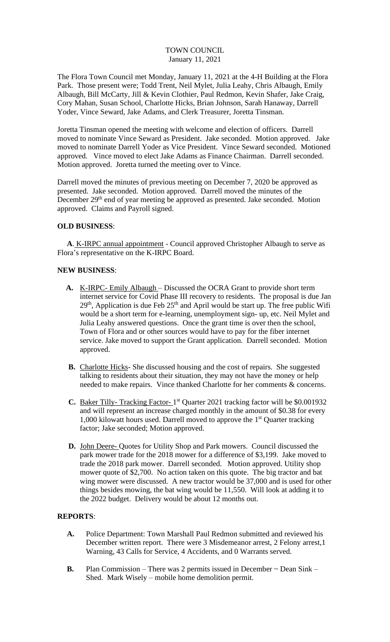### TOWN COUNCIL January 11, 2021

The Flora Town Council met Monday, January 11, 2021 at the 4-H Building at the Flora Park. Those present were; Todd Trent, Neil Mylet, Julia Leahy, Chris Albaugh, Emily Albaugh, Bill McCarty, Jill & Kevin Clothier, Paul Redmon, Kevin Shafer, Jake Craig, Cory Mahan, Susan School, Charlotte Hicks, Brian Johnson, Sarah Hanaway, Darrell Yoder, Vince Seward, Jake Adams, and Clerk Treasurer, Joretta Tinsman.

Joretta Tinsman opened the meeting with welcome and election of officers. Darrell moved to nominate Vince Seward as President. Jake seconded. Motion approved. Jake moved to nominate Darrell Yoder as Vice President. Vince Seward seconded. Motioned approved. Vince moved to elect Jake Adams as Finance Chairman. Darrell seconded. Motion approved. Joretta turned the meeting over to Vince.

Darrell moved the minutes of previous meeting on December 7, 2020 be approved as presented. Jake seconded. Motion approved. Darrell moved the minutes of the December 29<sup>th</sup> end of year meeting be approved as presented. Jake seconded. Motion approved. Claims and Payroll signed.

### **OLD BUSINESS**:

 **A**. K-IRPC annual appointment - Council approved Christopher Albaugh to serve as Flora's representative on the K-IRPC Board.

### **NEW BUSINESS**:

- A. <u>K-IRPC- Emily Albaugh</u> Discussed the OCRA Grant to provide short term internet service for Covid Phase III recovery to residents. The proposal is due Jan  $29<sup>th</sup>$ , Application is due Feb  $25<sup>th</sup>$  and April would be start up. The free public Wifi would be a short term for e-learning, unemployment sign- up, etc. Neil Mylet and Julia Leahy answered questions. Once the grant time is over then the school, Town of Flora and or other sources would have to pay for the fiber internet service. Jake moved to support the Grant application. Darrell seconded. Motion approved.
- **B.** Charlotte Hicks- She discussed housing and the cost of repairs. She suggested talking to residents about their situation, they may not have the money or help needed to make repairs. Vince thanked Charlotte for her comments & concerns.
- C. Baker Tilly- Tracking Factor-1<sup>st</sup> Quarter 2021 tracking factor will be \$0.001932 and will represent an increase charged monthly in the amount of \$0.38 for every 1,000 kilowatt hours used. Darrell moved to approve the  $1<sup>st</sup>$  Quarter tracking factor; Jake seconded; Motion approved.
- **D.** John Deere- Quotes for Utility Shop and Park mowers. Council discussed the park mower trade for the 2018 mower for a difference of \$3,199. Jake moved to trade the 2018 park mower. Darrell seconded. Motion approved. Utility shop mower quote of \$2,700. No action taken on this quote. The big tractor and bat wing mower were discussed. A new tractor would be 37,000 and is used for other things besides mowing, the bat wing would be 11,550. Will look at adding it to the 2022 budget. Delivery would be about 12 months out.

### **REPORTS**:

- **A.** Police Department: Town Marshall Paul Redmon submitted and reviewed his December written report. There were 3 Misdemeanor arrest, 2 Felony arrest,1 Warning, 43 Calls for Service, 4 Accidents, and 0 Warrants served.
- **B.** Plan Commission There was 2 permits issued in December  $\sim$  Dean Sink Shed. Mark Wisely – mobile home demolition permit.